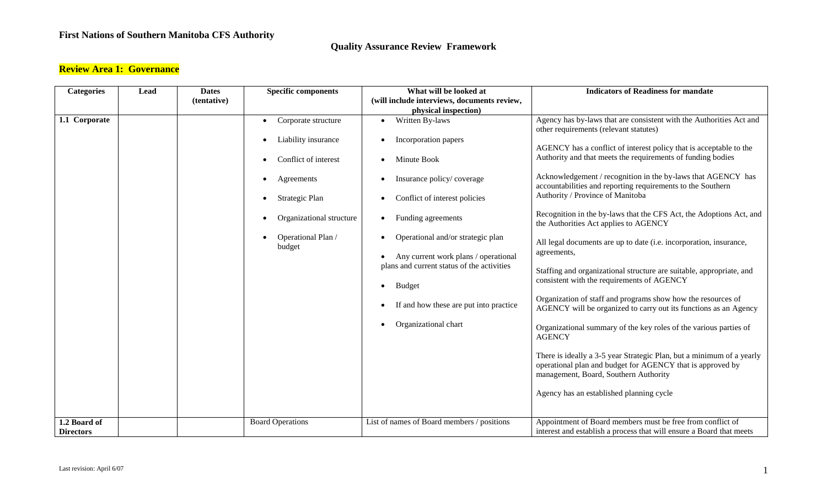### **Quality Assurance Review Framework**

### **Review Area 1: Governance**

| <b>Categories</b> | Lead | <b>Dates</b> | <b>Specific components</b>                                                                                                                                                  | What will be looked at                                                                                                                                                                                                                                                                                                                                                                                             | <b>Indicators of Readiness for mandate</b>                                                                                                                                                                                                                                                                                                                                                                                                                                                                                                                                                                                                                                                                                                                                                                                                                                                                                                                                                                                                                                                                                                                 |
|-------------------|------|--------------|-----------------------------------------------------------------------------------------------------------------------------------------------------------------------------|--------------------------------------------------------------------------------------------------------------------------------------------------------------------------------------------------------------------------------------------------------------------------------------------------------------------------------------------------------------------------------------------------------------------|------------------------------------------------------------------------------------------------------------------------------------------------------------------------------------------------------------------------------------------------------------------------------------------------------------------------------------------------------------------------------------------------------------------------------------------------------------------------------------------------------------------------------------------------------------------------------------------------------------------------------------------------------------------------------------------------------------------------------------------------------------------------------------------------------------------------------------------------------------------------------------------------------------------------------------------------------------------------------------------------------------------------------------------------------------------------------------------------------------------------------------------------------------|
|                   |      | (tentative)  |                                                                                                                                                                             | (will include interviews, documents review,                                                                                                                                                                                                                                                                                                                                                                        |                                                                                                                                                                                                                                                                                                                                                                                                                                                                                                                                                                                                                                                                                                                                                                                                                                                                                                                                                                                                                                                                                                                                                            |
|                   |      |              |                                                                                                                                                                             | physical inspection)                                                                                                                                                                                                                                                                                                                                                                                               |                                                                                                                                                                                                                                                                                                                                                                                                                                                                                                                                                                                                                                                                                                                                                                                                                                                                                                                                                                                                                                                                                                                                                            |
| 1.1 Corporate     |      |              | Corporate structure<br>$\bullet$<br>Liability insurance<br>Conflict of interest<br>Agreements<br>Strategic Plan<br>Organizational structure<br>Operational Plan /<br>budget | Written By-laws<br>$\bullet$<br>Incorporation papers<br>Minute Book<br>$\bullet$<br>Insurance policy/coverage<br>Conflict of interest policies<br>Funding agreements<br>$\bullet$<br>Operational and/or strategic plan<br>Any current work plans / operational<br>plans and current status of the activities<br>Budget<br>$\bullet$<br>If and how these are put into practice<br>Organizational chart<br>$\bullet$ | Agency has by-laws that are consistent with the Authorities Act and<br>other requirements (relevant statutes)<br>AGENCY has a conflict of interest policy that is acceptable to the<br>Authority and that meets the requirements of funding bodies<br>Acknowledgement / recognition in the by-laws that AGENCY has<br>accountabilities and reporting requirements to the Southern<br>Authority / Province of Manitoba<br>Recognition in the by-laws that the CFS Act, the Adoptions Act, and<br>the Authorities Act applies to AGENCY<br>All legal documents are up to date (i.e. incorporation, insurance,<br>agreements,<br>Staffing and organizational structure are suitable, appropriate, and<br>consistent with the requirements of AGENCY<br>Organization of staff and programs show how the resources of<br>AGENCY will be organized to carry out its functions as an Agency<br>Organizational summary of the key roles of the various parties of<br><b>AGENCY</b><br>There is ideally a 3-5 year Strategic Plan, but a minimum of a yearly<br>operational plan and budget for AGENCY that is approved by<br>management, Board, Southern Authority |
| 1.2 Board of      |      |              | <b>Board Operations</b>                                                                                                                                                     | List of names of Board members / positions                                                                                                                                                                                                                                                                                                                                                                         | Agency has an established planning cycle<br>Appointment of Board members must be free from conflict of                                                                                                                                                                                                                                                                                                                                                                                                                                                                                                                                                                                                                                                                                                                                                                                                                                                                                                                                                                                                                                                     |
| <b>Directors</b>  |      |              |                                                                                                                                                                             |                                                                                                                                                                                                                                                                                                                                                                                                                    | interest and establish a process that will ensure a Board that meets                                                                                                                                                                                                                                                                                                                                                                                                                                                                                                                                                                                                                                                                                                                                                                                                                                                                                                                                                                                                                                                                                       |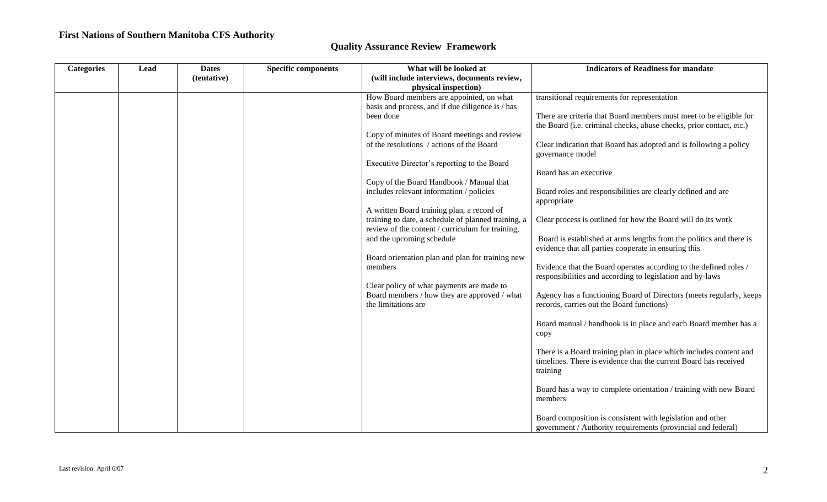| <b>Categories</b> | Lead | <b>Dates</b> | <b>Specific components</b> | What will be looked at                                                                            | <b>Indicators of Readiness for mandate</b>                                                                                                         |
|-------------------|------|--------------|----------------------------|---------------------------------------------------------------------------------------------------|----------------------------------------------------------------------------------------------------------------------------------------------------|
|                   |      | (tentative)  |                            | (will include interviews, documents review,                                                       |                                                                                                                                                    |
|                   |      |              |                            | physical inspection)                                                                              |                                                                                                                                                    |
|                   |      |              |                            | How Board members are appointed, on what                                                          | transitional requirements for representation                                                                                                       |
|                   |      |              |                            | basis and process, and if due diligence is / has                                                  |                                                                                                                                                    |
|                   |      |              |                            | been done                                                                                         | There are criteria that Board members must meet to be eligible for                                                                                 |
|                   |      |              |                            |                                                                                                   | the Board (i.e. criminal checks, abuse checks, prior contact, etc.)                                                                                |
|                   |      |              |                            | Copy of minutes of Board meetings and review                                                      |                                                                                                                                                    |
|                   |      |              |                            | of the resolutions / actions of the Board                                                         | Clear indication that Board has adopted and is following a policy<br>governance model                                                              |
|                   |      |              |                            | Executive Director's reporting to the Board                                                       |                                                                                                                                                    |
|                   |      |              |                            |                                                                                                   | Board has an executive                                                                                                                             |
|                   |      |              |                            | Copy of the Board Handbook / Manual that                                                          |                                                                                                                                                    |
|                   |      |              |                            | includes relevant information / policies                                                          | Board roles and responsibilities are clearly defined and are                                                                                       |
|                   |      |              |                            |                                                                                                   | appropriate                                                                                                                                        |
|                   |      |              |                            | A written Board training plan, a record of<br>training to date, a schedule of planned training, a | Clear process is outlined for how the Board will do its work                                                                                       |
|                   |      |              |                            | review of the content / curriculum for training,                                                  |                                                                                                                                                    |
|                   |      |              |                            | and the upcoming schedule                                                                         | Board is established at arms lengths from the politics and there is                                                                                |
|                   |      |              |                            |                                                                                                   | evidence that all parties cooperate in ensuring this                                                                                               |
|                   |      |              |                            | Board orientation plan and plan for training new                                                  |                                                                                                                                                    |
|                   |      |              |                            | members                                                                                           | Evidence that the Board operates according to the defined roles /                                                                                  |
|                   |      |              |                            |                                                                                                   | responsibilities and according to legislation and by-laws                                                                                          |
|                   |      |              |                            | Clear policy of what payments are made to<br>Board members / how they are approved / what         |                                                                                                                                                    |
|                   |      |              |                            | the limitations are                                                                               | Agency has a functioning Board of Directors (meets regularly, keeps<br>records, carries out the Board functions)                                   |
|                   |      |              |                            |                                                                                                   | Board manual / handbook is in place and each Board member has a                                                                                    |
|                   |      |              |                            |                                                                                                   | copy                                                                                                                                               |
|                   |      |              |                            |                                                                                                   | There is a Board training plan in place which includes content and<br>timelines. There is evidence that the current Board has received<br>training |
|                   |      |              |                            |                                                                                                   |                                                                                                                                                    |
|                   |      |              |                            |                                                                                                   | Board has a way to complete orientation / training with new Board<br>members                                                                       |
|                   |      |              |                            |                                                                                                   | Board composition is consistent with legislation and other<br>government / Authority requirements (provincial and federal)                         |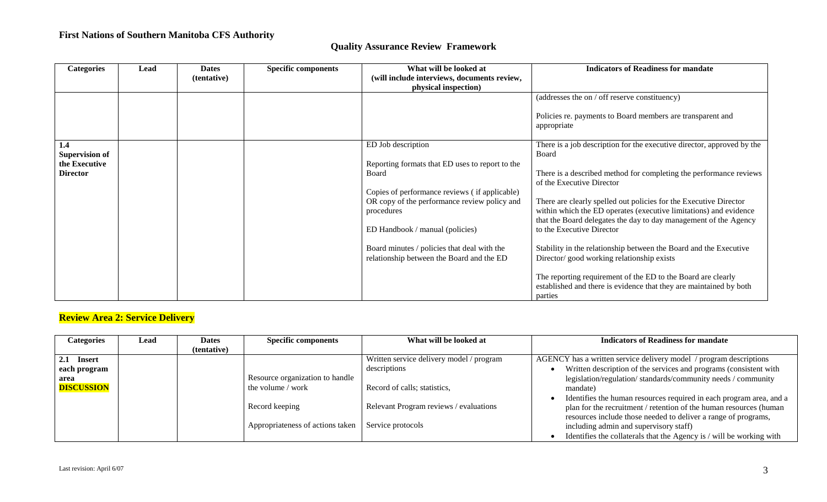|  |  |  | <b>Quality Assurance Review Framework</b> |
|--|--|--|-------------------------------------------|
|--|--|--|-------------------------------------------|

| <b>Categories</b>     | Lead | <b>Dates</b> | <b>Specific components</b> | What will be looked at                          | <b>Indicators of Readiness for mandate</b>                                                                                             |
|-----------------------|------|--------------|----------------------------|-------------------------------------------------|----------------------------------------------------------------------------------------------------------------------------------------|
|                       |      | (tentative)  |                            | (will include interviews, documents review,     |                                                                                                                                        |
|                       |      |              |                            | physical inspection)                            |                                                                                                                                        |
|                       |      |              |                            |                                                 | (addresses the on / off reserve constituency)                                                                                          |
|                       |      |              |                            |                                                 | Policies re. payments to Board members are transparent and<br>appropriate                                                              |
| 1.4                   |      |              |                            | ED Job description                              | There is a job description for the executive director, approved by the                                                                 |
| <b>Supervision of</b> |      |              |                            |                                                 | Board                                                                                                                                  |
| the Executive         |      |              |                            | Reporting formats that ED uses to report to the |                                                                                                                                        |
| <b>Director</b>       |      |              |                            | Board                                           | There is a described method for completing the performance reviews                                                                     |
|                       |      |              |                            |                                                 | of the Executive Director                                                                                                              |
|                       |      |              |                            | Copies of performance reviews (if applicable)   |                                                                                                                                        |
|                       |      |              |                            | OR copy of the performance review policy and    | There are clearly spelled out policies for the Executive Director<br>within which the ED operates (executive limitations) and evidence |
|                       |      |              |                            | procedures                                      | that the Board delegates the day to day management of the Agency                                                                       |
|                       |      |              |                            | ED Handbook / manual (policies)                 | to the Executive Director                                                                                                              |
|                       |      |              |                            |                                                 |                                                                                                                                        |
|                       |      |              |                            | Board minutes / policies that deal with the     | Stability in the relationship between the Board and the Executive                                                                      |
|                       |      |              |                            | relationship between the Board and the ED       | Director/good working relationship exists                                                                                              |
|                       |      |              |                            |                                                 |                                                                                                                                        |
|                       |      |              |                            |                                                 | The reporting requirement of the ED to the Board are clearly                                                                           |
|                       |      |              |                            |                                                 | established and there is evidence that they are maintained by both                                                                     |
|                       |      |              |                            |                                                 | parties                                                                                                                                |

# **Review Area 2: Service Delivery**

| <b>Categories</b> | Lead | <b>Dates</b> | <b>Specific components</b>       | What will be looked at                   | <b>Indicators of Readiness for mandate</b>                           |
|-------------------|------|--------------|----------------------------------|------------------------------------------|----------------------------------------------------------------------|
|                   |      | (tentative)  |                                  |                                          |                                                                      |
| 2.1 Insert        |      |              |                                  | Written service delivery model / program | AGENCY has a written service delivery model / program descriptions   |
| each program      |      |              |                                  | descriptions                             | Written description of the services and programs (consistent with    |
| area              |      |              | Resource organization to handle  |                                          | legislation/regulation/standards/community needs / community         |
| <b>DISCUSSION</b> |      |              | the volume / work                | Record of calls; statistics,             | mandate)                                                             |
|                   |      |              |                                  |                                          | Identifies the human resources required in each program area, and a  |
|                   |      |              | Record keeping                   | Relevant Program reviews / evaluations   | plan for the recruitment / retention of the human resources (human   |
|                   |      |              |                                  |                                          | resources include those needed to deliver a range of programs,       |
|                   |      |              | Appropriateness of actions taken | Service protocols                        | including admin and supervisory staff)                               |
|                   |      |              |                                  |                                          | Identifies the collaterals that the Agency is / will be working with |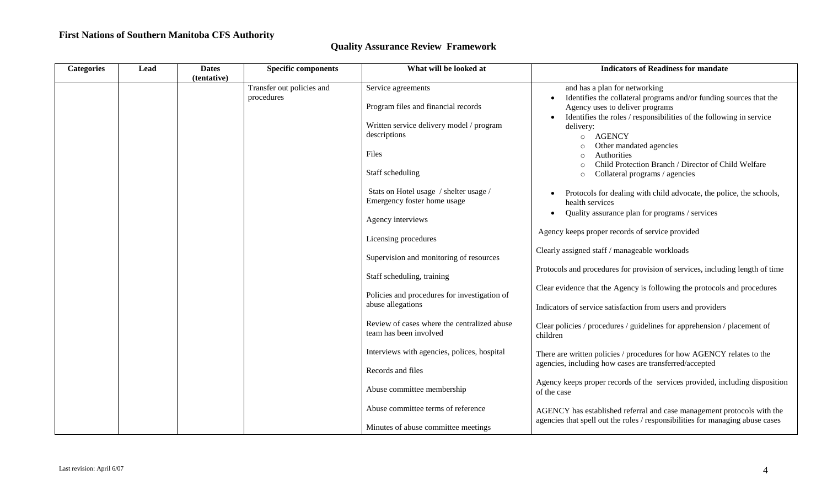| <b>Categories</b> | Lead | <b>Dates</b><br>(tentative) | <b>Specific components</b> | What will be looked at                                                | <b>Indicators of Readiness for mandate</b>                                                                                                                                   |
|-------------------|------|-----------------------------|----------------------------|-----------------------------------------------------------------------|------------------------------------------------------------------------------------------------------------------------------------------------------------------------------|
|                   |      |                             | Transfer out policies and  | Service agreements                                                    | and has a plan for networking                                                                                                                                                |
|                   |      |                             | procedures                 | Program files and financial records                                   | Identifies the collateral programs and/or funding sources that the<br>Agency uses to deliver programs<br>Identifies the roles / responsibilities of the following in service |
|                   |      |                             |                            | Written service delivery model / program<br>descriptions              | delivery:<br><b>AGENCY</b><br>$\circ$                                                                                                                                        |
|                   |      |                             |                            | Files                                                                 | Other mandated agencies<br>Authorities<br>$\Omega$<br>Child Protection Branch / Director of Child Welfare                                                                    |
|                   |      |                             |                            | Staff scheduling                                                      | Collateral programs / agencies<br>$\circ$                                                                                                                                    |
|                   |      |                             |                            | Stats on Hotel usage / shelter usage /<br>Emergency foster home usage | Protocols for dealing with child advocate, the police, the schools,<br>health services                                                                                       |
|                   |      |                             |                            | Agency interviews                                                     | Quality assurance plan for programs / services                                                                                                                               |
|                   |      |                             |                            | Licensing procedures                                                  | Agency keeps proper records of service provided                                                                                                                              |
|                   |      |                             |                            | Supervision and monitoring of resources                               | Clearly assigned staff / manageable workloads                                                                                                                                |
|                   |      |                             |                            | Staff scheduling, training                                            | Protocols and procedures for provision of services, including length of time                                                                                                 |
|                   |      |                             |                            | Policies and procedures for investigation of                          | Clear evidence that the Agency is following the protocols and procedures                                                                                                     |
|                   |      |                             |                            | abuse allegations                                                     | Indicators of service satisfaction from users and providers                                                                                                                  |
|                   |      |                             |                            | Review of cases where the centralized abuse<br>team has been involved | Clear policies / procedures / guidelines for apprehension / placement of<br>children                                                                                         |
|                   |      |                             |                            | Interviews with agencies, polices, hospital                           | There are written policies / procedures for how AGENCY relates to the                                                                                                        |
|                   |      |                             |                            | Records and files                                                     | agencies, including how cases are transferred/accepted                                                                                                                       |
|                   |      |                             |                            | Abuse committee membership                                            | Agency keeps proper records of the services provided, including disposition<br>of the case                                                                                   |
|                   |      |                             |                            | Abuse committee terms of reference                                    | AGENCY has established referral and case management protocols with the                                                                                                       |
|                   |      |                             |                            | Minutes of abuse committee meetings                                   | agencies that spell out the roles / responsibilities for managing abuse cases                                                                                                |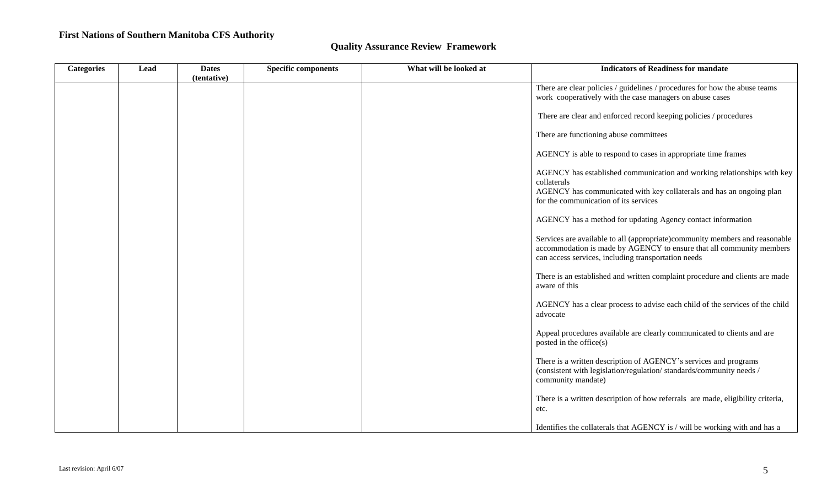| <b>Categories</b> | Lead | <b>Dates</b> | <b>Specific components</b> | What will be looked at | <b>Indicators of Readiness for mandate</b>                                                                                                                                                                 |
|-------------------|------|--------------|----------------------------|------------------------|------------------------------------------------------------------------------------------------------------------------------------------------------------------------------------------------------------|
|                   |      | (tentative)  |                            |                        | There are clear policies / guidelines / procedures for how the abuse teams                                                                                                                                 |
|                   |      |              |                            |                        | work cooperatively with the case managers on abuse cases                                                                                                                                                   |
|                   |      |              |                            |                        | There are clear and enforced record keeping policies / procedures                                                                                                                                          |
|                   |      |              |                            |                        | There are functioning abuse committees                                                                                                                                                                     |
|                   |      |              |                            |                        | AGENCY is able to respond to cases in appropriate time frames                                                                                                                                              |
|                   |      |              |                            |                        | AGENCY has established communication and working relationships with key<br>collaterals<br>AGENCY has communicated with key collaterals and has an ongoing plan<br>for the communication of its services    |
|                   |      |              |                            |                        | AGENCY has a method for updating Agency contact information                                                                                                                                                |
|                   |      |              |                            |                        | Services are available to all (appropriate)community members and reasonable<br>accommodation is made by AGENCY to ensure that all community members<br>can access services, including transportation needs |
|                   |      |              |                            |                        | There is an established and written complaint procedure and clients are made<br>aware of this                                                                                                              |
|                   |      |              |                            |                        | AGENCY has a clear process to advise each child of the services of the child<br>advocate                                                                                                                   |
|                   |      |              |                            |                        | Appeal procedures available are clearly communicated to clients and are<br>posted in the office(s)                                                                                                         |
|                   |      |              |                            |                        | There is a written description of AGENCY's services and programs<br>(consistent with legislation/regulation/standards/community needs /<br>community mandate)                                              |
|                   |      |              |                            |                        | There is a written description of how referrals are made, eligibility criteria,<br>etc.                                                                                                                    |
|                   |      |              |                            |                        | Identifies the collaterals that AGENCY is / will be working with and has a                                                                                                                                 |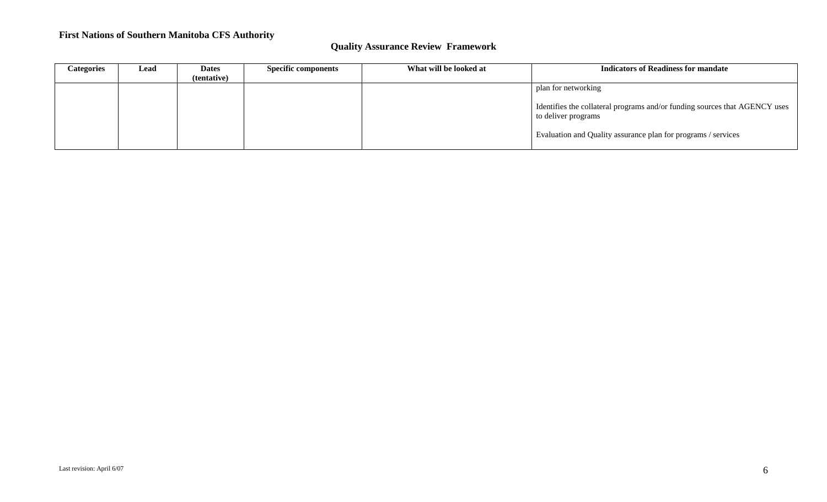| Categories | Lead | <b>Dates</b> | <b>Specific components</b> | What will be looked at | <b>Indicators of Readiness for mandate</b>                                                        |
|------------|------|--------------|----------------------------|------------------------|---------------------------------------------------------------------------------------------------|
|            |      | (tentative)  |                            |                        |                                                                                                   |
|            |      |              |                            |                        | plan for networking                                                                               |
|            |      |              |                            |                        | Identifies the collateral programs and/or funding sources that AGENCY uses<br>to deliver programs |
|            |      |              |                            |                        | Evaluation and Quality assurance plan for programs / services                                     |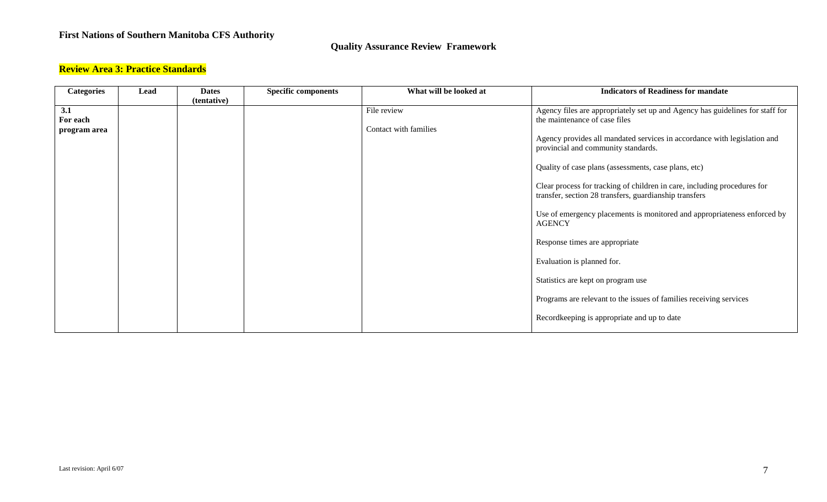### **Quality Assurance Review Framework**

### **Review Area 3: Practice Standards**

| <b>Categories</b> | Lead | <b>Dates</b> | <b>Specific components</b> | What will be looked at | <b>Indicators of Readiness for mandate</b>                                                |
|-------------------|------|--------------|----------------------------|------------------------|-------------------------------------------------------------------------------------------|
|                   |      | (tentative)  |                            |                        |                                                                                           |
| 3.1               |      |              |                            | File review            | Agency files are appropriately set up and Agency has guidelines for staff for             |
| For each          |      |              |                            |                        | the maintenance of case files                                                             |
| program area      |      |              |                            | Contact with families  |                                                                                           |
|                   |      |              |                            |                        | Agency provides all mandated services in accordance with legislation and                  |
|                   |      |              |                            |                        | provincial and community standards.                                                       |
|                   |      |              |                            |                        | Quality of case plans (assessments, case plans, etc)                                      |
|                   |      |              |                            |                        | Clear process for tracking of children in care, including procedures for                  |
|                   |      |              |                            |                        | transfer, section 28 transfers, guardianship transfers                                    |
|                   |      |              |                            |                        |                                                                                           |
|                   |      |              |                            |                        | Use of emergency placements is monitored and appropriateness enforced by<br><b>AGENCY</b> |
|                   |      |              |                            |                        |                                                                                           |
|                   |      |              |                            |                        | Response times are appropriate                                                            |
|                   |      |              |                            |                        | Evaluation is planned for.                                                                |
|                   |      |              |                            |                        | Statistics are kept on program use                                                        |
|                   |      |              |                            |                        | Programs are relevant to the issues of families receiving services                        |
|                   |      |              |                            |                        | Recordkeeping is appropriate and up to date                                               |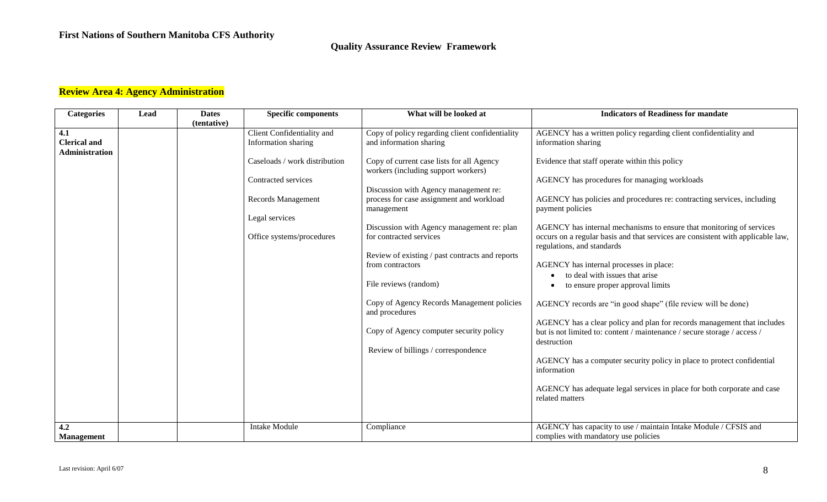### **Quality Assurance Review Framework**

# **Review Area 4: Agency Administration**

| <b>Categories</b>     | <b>Lead</b> | <b>Dates</b> | <b>Specific components</b>    | What will be looked at                                       | <b>Indicators of Readiness for mandate</b>                                                                    |
|-----------------------|-------------|--------------|-------------------------------|--------------------------------------------------------------|---------------------------------------------------------------------------------------------------------------|
| 4.1                   |             | (tentative)  | Client Confidentiality and    | Copy of policy regarding client confidentiality              | AGENCY has a written policy regarding client confidentiality and                                              |
| <b>Clerical and</b>   |             |              | Information sharing           | and information sharing                                      | information sharing                                                                                           |
| <b>Administration</b> |             |              |                               |                                                              |                                                                                                               |
|                       |             |              | Caseloads / work distribution | Copy of current case lists for all Agency                    | Evidence that staff operate within this policy                                                                |
|                       |             |              |                               | workers (including support workers)                          |                                                                                                               |
|                       |             |              | Contracted services           |                                                              | AGENCY has procedures for managing workloads                                                                  |
|                       |             |              |                               | Discussion with Agency management re:                        |                                                                                                               |
|                       |             |              | Records Management            | process for case assignment and workload<br>management       | AGENCY has policies and procedures re: contracting services, including<br>payment policies                    |
|                       |             |              | Legal services                |                                                              |                                                                                                               |
|                       |             |              |                               | Discussion with Agency management re: plan                   | AGENCY has internal mechanisms to ensure that monitoring of services                                          |
|                       |             |              | Office systems/procedures     | for contracted services                                      | occurs on a regular basis and that services are consistent with applicable law,<br>regulations, and standards |
|                       |             |              |                               | Review of existing / past contracts and reports              |                                                                                                               |
|                       |             |              |                               | from contractors                                             | AGENCY has internal processes in place:                                                                       |
|                       |             |              |                               |                                                              | to deal with issues that arise                                                                                |
|                       |             |              |                               | File reviews (random)                                        | to ensure proper approval limits                                                                              |
|                       |             |              |                               |                                                              |                                                                                                               |
|                       |             |              |                               | Copy of Agency Records Management policies<br>and procedures | AGENCY records are "in good shape" (file review will be done)                                                 |
|                       |             |              |                               |                                                              | AGENCY has a clear policy and plan for records management that includes                                       |
|                       |             |              |                               | Copy of Agency computer security policy                      | but is not limited to: content / maintenance / secure storage / access /                                      |
|                       |             |              |                               | Review of billings / correspondence                          | destruction                                                                                                   |
|                       |             |              |                               |                                                              | AGENCY has a computer security policy in place to protect confidential                                        |
|                       |             |              |                               |                                                              | information                                                                                                   |
|                       |             |              |                               |                                                              |                                                                                                               |
|                       |             |              |                               |                                                              | AGENCY has adequate legal services in place for both corporate and case                                       |
|                       |             |              |                               |                                                              | related matters                                                                                               |
|                       |             |              |                               |                                                              |                                                                                                               |
| 4.2                   |             |              | <b>Intake Module</b>          | Compliance                                                   | AGENCY has capacity to use / maintain Intake Module / CFSIS and                                               |
| <b>Management</b>     |             |              |                               |                                                              | complies with mandatory use policies                                                                          |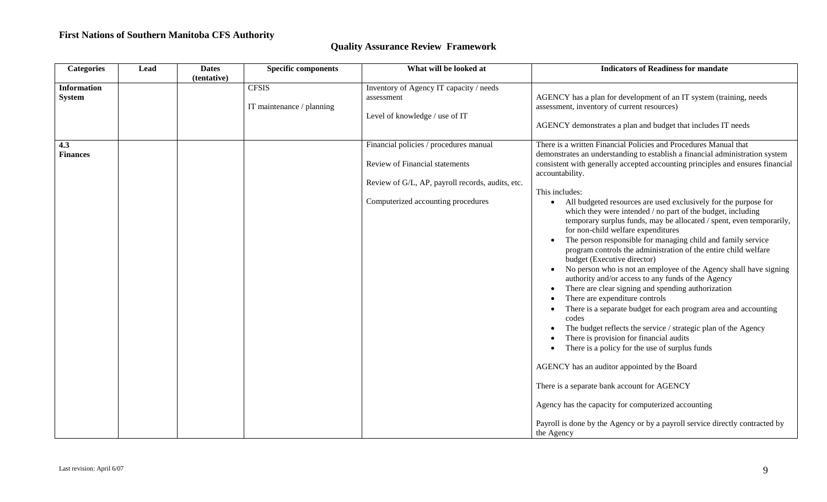| <b>Categories</b>                   | Lead | <b>Dates</b><br>(tentative) | <b>Specific components</b>                | What will be looked at                                                                                                                                             | <b>Indicators of Readiness for mandate</b>                                                                                                                                                                                                                                                                                                                                                                                                                                                                                                                                                                                                                                                                                                                                                                                                                                                                                                                                                                                                                                                                                                                                                                                                                                                                                                                                                                               |
|-------------------------------------|------|-----------------------------|-------------------------------------------|--------------------------------------------------------------------------------------------------------------------------------------------------------------------|--------------------------------------------------------------------------------------------------------------------------------------------------------------------------------------------------------------------------------------------------------------------------------------------------------------------------------------------------------------------------------------------------------------------------------------------------------------------------------------------------------------------------------------------------------------------------------------------------------------------------------------------------------------------------------------------------------------------------------------------------------------------------------------------------------------------------------------------------------------------------------------------------------------------------------------------------------------------------------------------------------------------------------------------------------------------------------------------------------------------------------------------------------------------------------------------------------------------------------------------------------------------------------------------------------------------------------------------------------------------------------------------------------------------------|
| <b>Information</b><br><b>System</b> |      |                             | <b>CFSIS</b><br>IT maintenance / planning | Inventory of Agency IT capacity / needs<br>assessment<br>Level of knowledge / use of IT                                                                            | AGENCY has a plan for development of an IT system (training, needs<br>assessment, inventory of current resources)<br>AGENCY demonstrates a plan and budget that includes IT needs                                                                                                                                                                                                                                                                                                                                                                                                                                                                                                                                                                                                                                                                                                                                                                                                                                                                                                                                                                                                                                                                                                                                                                                                                                        |
| 4.3<br><b>Finances</b>              |      |                             |                                           | Financial policies / procedures manual<br>Review of Financial statements<br>Review of G/L, AP, payroll records, audits, etc.<br>Computerized accounting procedures | There is a written Financial Policies and Procedures Manual that<br>demonstrates an understanding to establish a financial administration system<br>consistent with generally accepted accounting principles and ensures financial<br>accountability.<br>This includes:<br>All budgeted resources are used exclusively for the purpose for<br>$\bullet$<br>which they were intended / no part of the budget, including<br>temporary surplus funds, may be allocated / spent, even temporarily,<br>for non-child welfare expenditures<br>The person responsible for managing child and family service<br>program controls the administration of the entire child welfare<br>budget (Executive director)<br>No person who is not an employee of the Agency shall have signing<br>authority and/or access to any funds of the Agency<br>There are clear signing and spending authorization<br>There are expenditure controls<br>There is a separate budget for each program area and accounting<br>codes<br>The budget reflects the service / strategic plan of the Agency<br>There is provision for financial audits<br>There is a policy for the use of surplus funds<br>AGENCY has an auditor appointed by the Board<br>There is a separate bank account for AGENCY<br>Agency has the capacity for computerized accounting<br>Payroll is done by the Agency or by a payroll service directly contracted by<br>the Agency |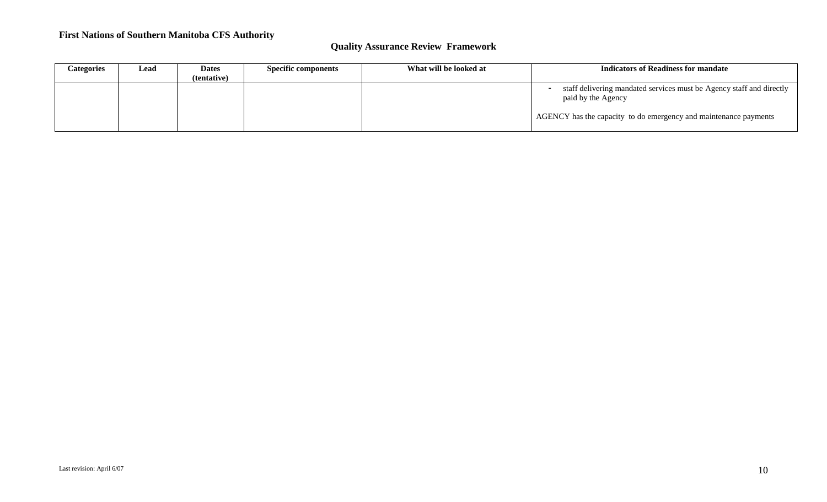| Categories | Lead | <b>Dates</b> | <b>Specific components</b> | What will be looked at | Indicators of Readiness for mandate                                                        |
|------------|------|--------------|----------------------------|------------------------|--------------------------------------------------------------------------------------------|
|            |      | (tentative)  |                            |                        |                                                                                            |
|            |      |              |                            |                        | staff delivering mandated services must be Agency staff and directly<br>paid by the Agency |
|            |      |              |                            |                        | AGENCY has the capacity to do emergency and maintenance payments                           |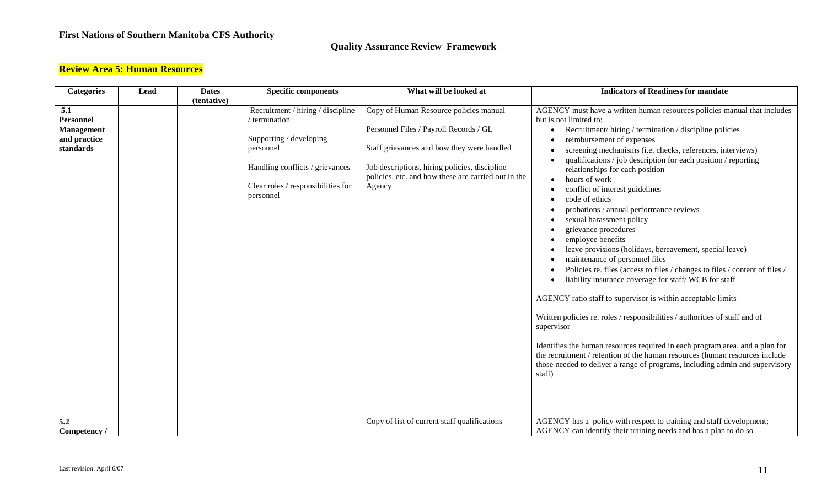### **Quality Assurance Review Framework**

# **Review Area 5: Human Resources**

| <b>Categories</b>   | Lead | <b>Dates</b> | <b>Specific components</b>                      | What will be looked at                              | <b>Indicators of Readiness for mandate</b>                                                                                                                                                                                                            |
|---------------------|------|--------------|-------------------------------------------------|-----------------------------------------------------|-------------------------------------------------------------------------------------------------------------------------------------------------------------------------------------------------------------------------------------------------------|
|                     |      | (tentative)  |                                                 |                                                     |                                                                                                                                                                                                                                                       |
| 5.1                 |      |              | Recruitment / hiring / discipline               | Copy of Human Resource policies manual              | AGENCY must have a written human resources policies manual that includes                                                                                                                                                                              |
| <b>Personnel</b>    |      |              | / termination                                   |                                                     | but is not limited to:                                                                                                                                                                                                                                |
| <b>Management</b>   |      |              |                                                 | Personnel Files / Payroll Records / GL              | Recruitment/hiring/termination/discipline policies                                                                                                                                                                                                    |
| and practice        |      |              | Supporting / developing                         |                                                     | reimbursement of expenses                                                                                                                                                                                                                             |
| standards           |      |              | personnel                                       | Staff grievances and how they were handled          | screening mechanisms (i.e. checks, references, interviews)                                                                                                                                                                                            |
|                     |      |              | Handling conflicts / grievances                 | Job descriptions, hiring policies, discipline       | qualifications / job description for each position / reporting<br>relationships for each position                                                                                                                                                     |
|                     |      |              |                                                 | policies, etc. and how these are carried out in the | hours of work                                                                                                                                                                                                                                         |
|                     |      |              | Clear roles / responsibilities for<br>personnel | Agency                                              | conflict of interest guidelines                                                                                                                                                                                                                       |
|                     |      |              |                                                 |                                                     | code of ethics                                                                                                                                                                                                                                        |
|                     |      |              |                                                 |                                                     | probations / annual performance reviews                                                                                                                                                                                                               |
|                     |      |              |                                                 |                                                     | sexual harassment policy                                                                                                                                                                                                                              |
|                     |      |              |                                                 |                                                     | grievance procedures                                                                                                                                                                                                                                  |
|                     |      |              |                                                 |                                                     | employee benefits                                                                                                                                                                                                                                     |
|                     |      |              |                                                 |                                                     | leave provisions (holidays, bereavement, special leave)                                                                                                                                                                                               |
|                     |      |              |                                                 |                                                     | maintenance of personnel files                                                                                                                                                                                                                        |
|                     |      |              |                                                 |                                                     | Policies re. files (access to files / changes to files / content of files /<br>liability insurance coverage for staff/WCB for staff                                                                                                                   |
|                     |      |              |                                                 |                                                     | AGENCY ratio staff to supervisor is within acceptable limits                                                                                                                                                                                          |
|                     |      |              |                                                 |                                                     | Written policies re. roles / responsibilities / authorities of staff and of<br>supervisor                                                                                                                                                             |
|                     |      |              |                                                 |                                                     | Identifies the human resources required in each program area, and a plan for<br>the recruitment / retention of the human resources (human resources include<br>those needed to deliver a range of programs, including admin and supervisory<br>staff) |
| 5.2<br>Competency / |      |              |                                                 | Copy of list of current staff qualifications        | AGENCY has a policy with respect to training and staff development;<br>AGENCY can identify their training needs and has a plan to do so                                                                                                               |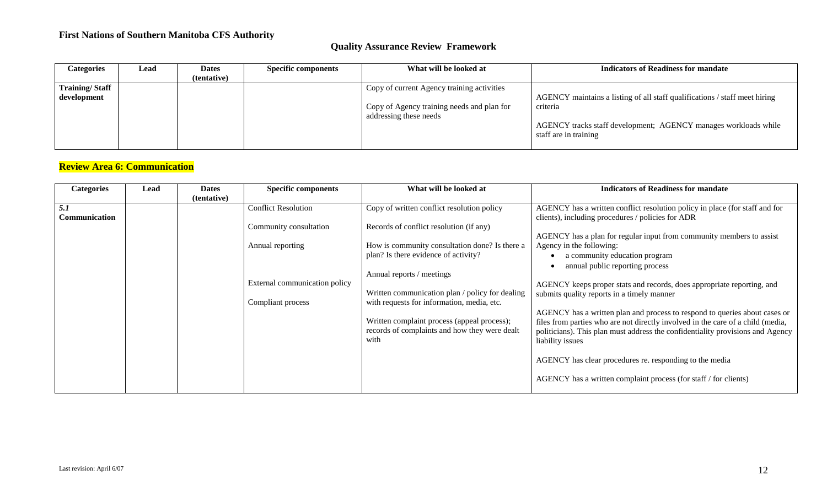### **Quality Assurance Review Framework**

| <b>Categories</b>     | Lead | <b>Dates</b> | <b>Specific components</b> | What will be looked at                     | <b>Indicators of Readiness for mandate</b>                                 |
|-----------------------|------|--------------|----------------------------|--------------------------------------------|----------------------------------------------------------------------------|
|                       |      | (tentative)  |                            |                                            |                                                                            |
| <b>Training/Staff</b> |      |              |                            | Copy of current Agency training activities |                                                                            |
| development           |      |              |                            |                                            | AGENCY maintains a listing of all staff qualifications / staff meet hiring |
|                       |      |              |                            | Copy of Agency training needs and plan for | criteria                                                                   |
|                       |      |              |                            | addressing these needs                     |                                                                            |
|                       |      |              |                            |                                            | AGENCY tracks staff development; AGENCY manages workloads while            |
|                       |      |              |                            |                                            | staff are in training                                                      |
|                       |      |              |                            |                                            |                                                                            |

# **Review Area 6: Communication**

| <b>Categories</b>    | Lead | <b>Dates</b> | <b>Specific components</b>    | What will be looked at                          | <b>Indicators of Readiness for mandate</b>                                      |
|----------------------|------|--------------|-------------------------------|-------------------------------------------------|---------------------------------------------------------------------------------|
|                      |      | (tentative)  |                               |                                                 |                                                                                 |
| 5.1                  |      |              | <b>Conflict Resolution</b>    | Copy of written conflict resolution policy      | AGENCY has a written conflict resolution policy in place (for staff and for     |
| <b>Communication</b> |      |              |                               |                                                 | clients), including procedures / policies for ADR                               |
|                      |      |              | Community consultation        | Records of conflict resolution (if any)         |                                                                                 |
|                      |      |              |                               |                                                 | AGENCY has a plan for regular input from community members to assist            |
|                      |      |              | Annual reporting              | How is community consultation done? Is there a  | Agency in the following:                                                        |
|                      |      |              |                               | plan? Is there evidence of activity?            | a community education program                                                   |
|                      |      |              |                               |                                                 | annual public reporting process                                                 |
|                      |      |              |                               | Annual reports / meetings                       |                                                                                 |
|                      |      |              | External communication policy |                                                 | AGENCY keeps proper stats and records, does appropriate reporting, and          |
|                      |      |              |                               | Written communication plan / policy for dealing | submits quality reports in a timely manner                                      |
|                      |      |              | Compliant process             | with requests for information, media, etc.      |                                                                                 |
|                      |      |              |                               |                                                 | AGENCY has a written plan and process to respond to queries about cases or      |
|                      |      |              |                               | Written complaint process (appeal process);     | files from parties who are not directly involved in the care of a child (media, |
|                      |      |              |                               | records of complaints and how they were dealt   | politicians). This plan must address the confidentiality provisions and Agency  |
|                      |      |              |                               | with                                            | liability issues                                                                |
|                      |      |              |                               |                                                 |                                                                                 |
|                      |      |              |                               |                                                 | AGENCY has clear procedures re. responding to the media                         |
|                      |      |              |                               |                                                 |                                                                                 |
|                      |      |              |                               |                                                 | AGENCY has a written complaint process (for staff / for clients)                |
|                      |      |              |                               |                                                 |                                                                                 |